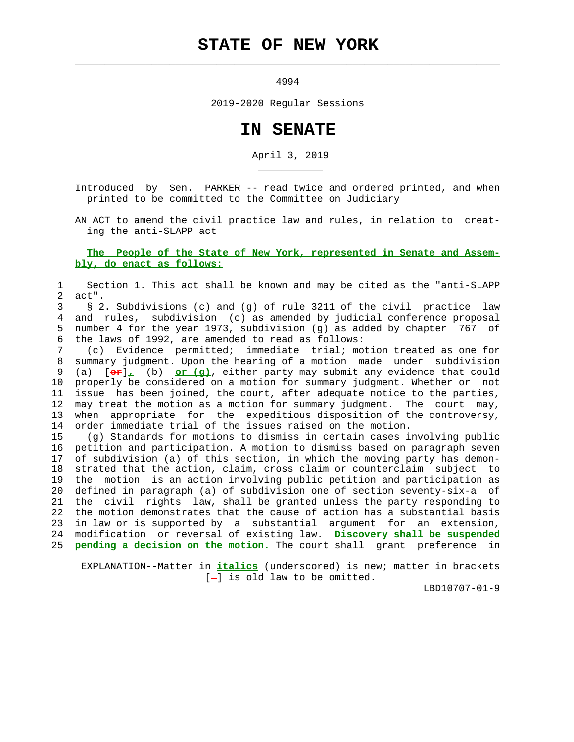# **STATE OF NEW YORK**

 $\mathcal{L}_\text{max} = \frac{1}{2} \sum_{i=1}^{n} \frac{1}{2} \sum_{i=1}^{n} \frac{1}{2} \sum_{i=1}^{n} \frac{1}{2} \sum_{i=1}^{n} \frac{1}{2} \sum_{i=1}^{n} \frac{1}{2} \sum_{i=1}^{n} \frac{1}{2} \sum_{i=1}^{n} \frac{1}{2} \sum_{i=1}^{n} \frac{1}{2} \sum_{i=1}^{n} \frac{1}{2} \sum_{i=1}^{n} \frac{1}{2} \sum_{i=1}^{n} \frac{1}{2} \sum_{i=1}^{n} \frac{1$ 

\_\_\_\_\_\_\_\_\_\_\_

4994

2019-2020 Regular Sessions

## **IN SENATE**

April 3, 2019

 Introduced by Sen. PARKER -- read twice and ordered printed, and when printed to be committed to the Committee on Judiciary

 AN ACT to amend the civil practice law and rules, in relation to creat ing the anti-SLAPP act

#### **The People of the State of New York, represented in Senate and Assem bly, do enact as follows:**

 1 Section 1. This act shall be known and may be cited as the "anti-SLAPP 2 act".

#### 3 § 2. Subdivisions (c) and (g) of rule 3211 of the civil practice law 4 and rules, subdivision (c) as amended by judicial conference proposal 5 number 4 for the year 1973, subdivision (g) as added by chapter 767 of 6 the laws of 1992, are amended to read as follows:

 7 (c) Evidence permitted; immediate trial; motion treated as one for 8 summary judgment. Upon the hearing of a motion made under subdivision 9 (a) [**or**]**,** (b) **or (g)**, either party may submit any evidence that could 10 properly be considered on a motion for summary judgment. Whether or not 11 issue has been joined, the court, after adequate notice to the parties, 12 may treat the motion as a motion for summary judgment. The court may, 13 when appropriate for the expeditious disposition of the controversy, 14 order immediate trial of the issues raised on the motion.

 15 (g) Standards for motions to dismiss in certain cases involving public 16 petition and participation. A motion to dismiss based on paragraph seven 17 of subdivision (a) of this section, in which the moving party has demon- 18 strated that the action, claim, cross claim or counterclaim subject to 19 the motion is an action involving public petition and participation as 20 defined in paragraph (a) of subdivision one of section seventy-six-a of 21 the civil rights law, shall be granted unless the party responding to 22 the motion demonstrates that the cause of action has a substantial basis 23 in law or is supported by a substantial argument for an extension, 24 modification or reversal of existing law. **Discovery shall be suspended** 25 **pending a decision on the motion.** The court shall grant preference in

 EXPLANATION--Matter in **italics** (underscored) is new; matter in brackets  $[-]$  is old law to be omitted.

LBD10707-01-9